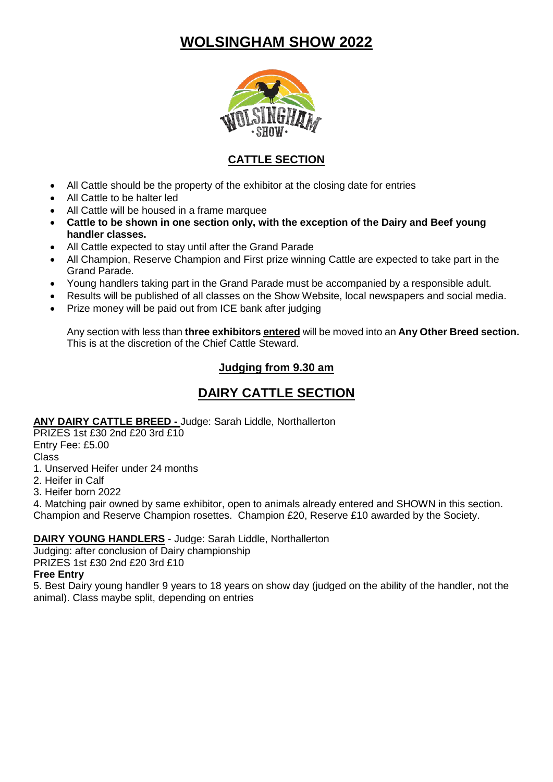# **WOLSINGHAM SHOW 2022**



# **CATTLE SECTION**

- All Cattle should be the property of the exhibitor at the closing date for entries
- All Cattle to be halter led
- All Cattle will be housed in a frame marquee
- **Cattle to be shown in one section only, with the exception of the Dairy and Beef young handler classes.**
- All Cattle expected to stay until after the Grand Parade
- All Champion, Reserve Champion and First prize winning Cattle are expected to take part in the Grand Parade.
- Young handlers taking part in the Grand Parade must be accompanied by a responsible adult.
- Results will be published of all classes on the Show Website, local newspapers and social media.
- Prize money will be paid out from ICE bank after judging

Any section with less than **three exhibitors entered** will be moved into an **Any Other Breed section.** This is at the discretion of the Chief Cattle Steward.

## **Judging from 9.30 am**

# **DAIRY CATTLE SECTION**

### **ANY DAIRY CATTLE BREED -** Judge: Sarah Liddle, Northallerton

PRIZES 1st £30 2nd £20 3rd £10 Entry Fee: £5.00 Class

- 1. Unserved Heifer under 24 months
- 2. Heifer in Calf
- 3. Heifer born 2022

4. Matching pair owned by same exhibitor, open to animals already entered and SHOWN in this section. Champion and Reserve Champion rosettes. Champion £20, Reserve £10 awarded by the Society.

## **DAIRY YOUNG HANDLERS** - Judge: Sarah Liddle, Northallerton

Judging: after conclusion of Dairy championship PRIZES 1st £30 2nd £20 3rd £10

### **Free Entry**

5. Best Dairy young handler 9 years to 18 years on show day (judged on the ability of the handler, not the animal). Class maybe split, depending on entries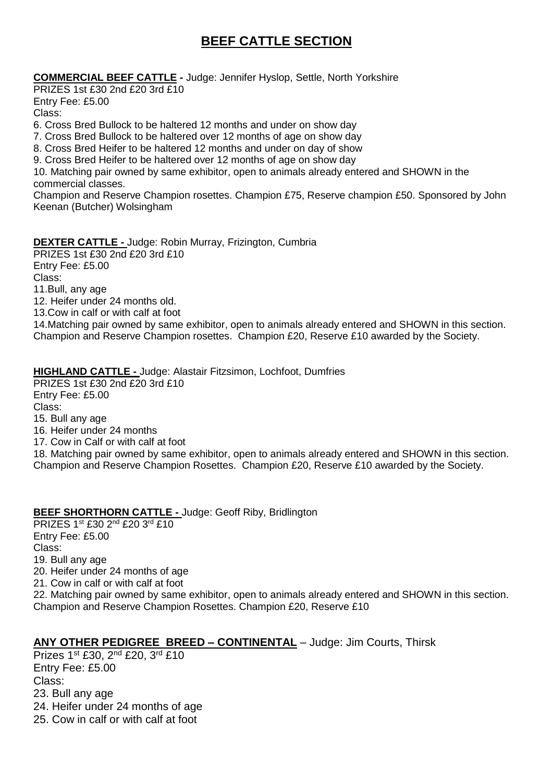# **BEEF CATTLE SECTION**

**COMMERCIAL BEEF CATTLE -** Judge: Jennifer Hyslop, Settle, North Yorkshire

PRIZES 1st £30 2nd £20 3rd £10 Entry Fee: £5.00 Class:

6. Cross Bred Bullock to be haltered 12 months and under on show day

7. Cross Bred Bullock to be haltered over 12 months of age on show day

8. Cross Bred Heifer to be haltered 12 months and under on day of show

9. Cross Bred Heifer to be haltered over 12 months of age on show day

10. Matching pair owned by same exhibitor, open to animals already entered and SHOWN in the commercial classes.

Champion and Reserve Champion rosettes. Champion £75, Reserve champion £50. Sponsored by John Keenan (Butcher) Wolsingham

#### **DEXTER CATTLE -** Judge: Robin Murray, Frizington, Cumbria

PRIZES 1st £30 2nd £20 3rd £10 Entry Fee: £5.00 Class: 11.Bull, any age 12. Heifer under 24 months old. 13.Cow in calf or with calf at foot

14.Matching pair owned by same exhibitor, open to animals already entered and SHOWN in this section. Champion and Reserve Champion rosettes. Champion £20, Reserve £10 awarded by the Society.

#### **HIGHLAND CATTLE -** Judge: Alastair Fitzsimon, Lochfoot, Dumfries

PRIZES 1st £30 2nd £20 3rd £10 Entry Fee: £5.00 Class: 15. Bull any age 16. Heifer under 24 months 17. Cow in Calf or with calf at foot 18. Matching pair owned by same exhibitor, open to animals already entered and SHOWN in this section. Champion and Reserve Champion Rosettes. Champion £20, Reserve £10 awarded by the Society.

### **BEEF SHORTHORN CATTLE -** Judge: Geoff Riby, Bridlington

PRIZES 1st £30 2nd £20 3rd £10 Entry Fee: £5.00 Class: 19. Bull any age 20. Heifer under 24 months of age 21. Cow in calf or with calf at foot 22. Matching pair owned by same exhibitor, open to animals already entered and SHOWN in this section. Champion and Reserve Champion Rosettes. Champion £20, Reserve £10

### **ANY OTHER PEDIGREE BREED – CONTINENTAL** – Judge: Jim Courts, Thirsk

Prizes 1st £30, 2<sup>nd</sup> £20, 3<sup>rd</sup> £10 Entry Fee: £5.00 Class: 23. Bull any age 24. Heifer under 24 months of age 25. Cow in calf or with calf at foot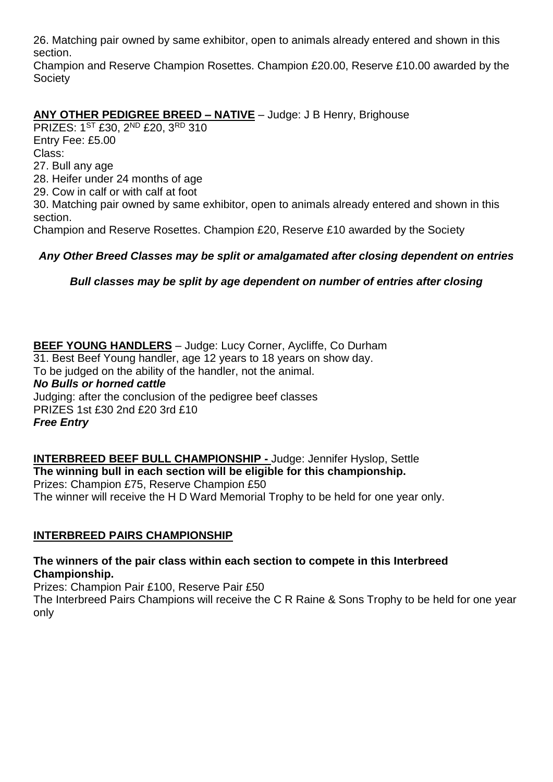26. Matching pair owned by same exhibitor, open to animals already entered and shown in this section.

Champion and Reserve Champion Rosettes. Champion £20.00, Reserve £10.00 awarded by the **Society** 

## **ANY OTHER PEDIGREE BREED – NATIVE** – Judge: J B Henry, Brighouse

PRIZES: 1ST £30, 2ND £20, 3RD 310 Entry Fee: £5.00 Class: 27. Bull any age 28. Heifer under 24 months of age 29. Cow in calf or with calf at foot 30. Matching pair owned by same exhibitor, open to animals already entered and shown in this section.

Champion and Reserve Rosettes. Champion £20, Reserve £10 awarded by the Society

### *Any Other Breed Classes may be split or amalgamated after closing dependent on entries*

*Bull classes may be split by age dependent on number of entries after closing*

**BEEF YOUNG HANDLERS** – Judge: Lucy Corner, Aycliffe, Co Durham 31. Best Beef Young handler, age 12 years to 18 years on show day. To be judged on the ability of the handler, not the animal. *No Bulls or horned cattle* Judging: after the conclusion of the pedigree beef classes PRIZES 1st £30 2nd £20 3rd £10 *Free Entry*

**INTERBREED BEEF BULL CHAMPIONSHIP -** Judge: Jennifer Hyslop, Settle **The winning bull in each section will be eligible for this championship.** Prizes: Champion £75, Reserve Champion £50 The winner will receive the H D Ward Memorial Trophy to be held for one year only.

### **INTERBREED PAIRS CHAMPIONSHIP**

**The winners of the pair class within each section to compete in this Interbreed Championship.**

Prizes: Champion Pair £100, Reserve Pair £50

The Interbreed Pairs Champions will receive the C R Raine & Sons Trophy to be held for one year only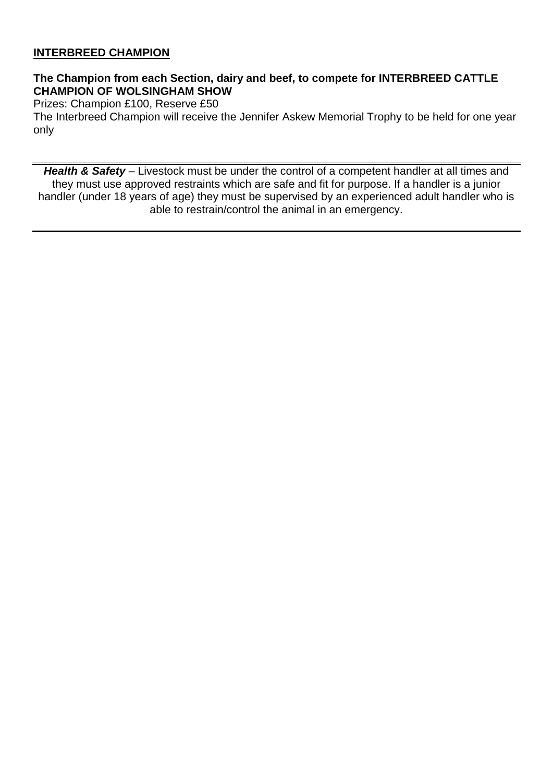## **INTERBREED CHAMPION**

### **The Champion from each Section, dairy and beef, to compete for INTERBREED CATTLE CHAMPION OF WOLSINGHAM SHOW**

Prizes: Champion £100, Reserve £50

The Interbreed Champion will receive the Jennifer Askew Memorial Trophy to be held for one year only

*Health & Safety* – Livestock must be under the control of a competent handler at all times and they must use approved restraints which are safe and fit for purpose. If a handler is a junior handler (under 18 years of age) they must be supervised by an experienced adult handler who is able to restrain/control the animal in an emergency.